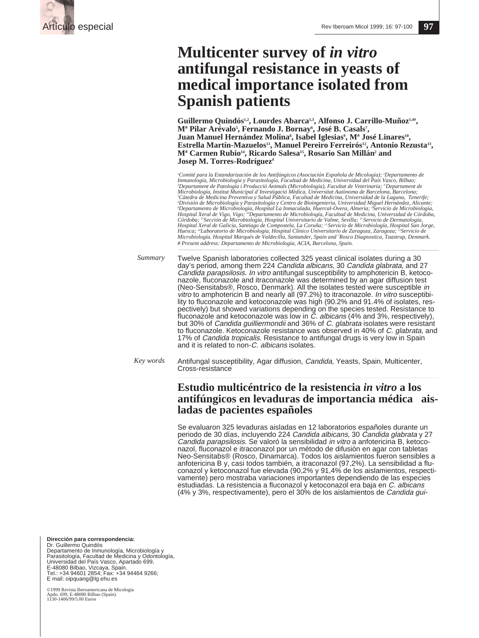

# **Multicenter survey of** *in vitro* **antifungal resistance in yeasts of medical importance isolated from Spanish patients**

Guillermo Quindós<sup>1,2</sup>, Lourdes Abarca<sup>1,3</sup>, Alfonso J. Carrillo-Muñoz<sup>1,4#</sup>, **, Fernando J. Bornay6 , José B. Casals7 , Juan Manuel Hernández Molina8 , Isabel Iglesias9 , Mª José Linares10,** Estrella Martín-Mazuelos<sup>11</sup>, Manuel Pereiro Ferreirós<sup>12</sup>, Antonio Rezusta<sup>13</sup>, **Mª Carmen Rubio14, Ricardo Salesa15, Rosario San Millán2 and Josep M. Torres-Rodríguez4**

*1 Comité para la Estandarización de los Antifúngicos (Asociación Española de Micología); 2 Departamento de Inmunología, Microbiología y Parasitología, Facultad de Medicina, Universidad del País Vasco, Bilbao;* 'Departament de Patología i Producció Animals (Microbiología), Facultat de Veterinaria; ' Departament de<br>Microbiología, Institut Municipal d´Investigació Mèdica, Universitat Autònoma de Barcelona, Barcelona; *5 Cátedra de Medicina Preventiva y Salud Pública, Facultad de Medicina, Universidad de la Laguna, Tenerife;* "División de Microbiología y Parasitología y Centro de Bioingenieria, Universidad Miguel Hernández, Alicante;<br>\*Departamento de Microbiología, Hospital La Inmaculada, Huercal-Overa, Almería; °Servicio de Microbiología, Hospital Xeral de Vigo, Vigo; <sup>10</sup>Departamento de Microbiología, Facultad de Medicina, Universidad de Córdoba,<br>Córdoba; <sup>11</sup>Sección de Microbiología, Hospital Universitario de Valme, Sevilla; <sup>12</sup>Servicio de Dermatología,<br> Huesca; <sup>11</sup>Laboratorio de Microbiología, Hospital Clínico Universitario de Zaragoza, Zaragoza; <sup>15</sup>Servicio de<br>Microbiología. Hospital Marqués de Valdecilla, Santander, Spain and 'Rosco Diagnostica, Taastrup, Denmark. *# Present address: Departamento de Microbiología, ACIA, Barcelona, Spain.*

Twelve Spanish laboratories collected 325 yeast clinical isolates during a 30 day's period, among them 224 Candida albicans, 30 Candida glabrata, and 27 Candida parapsilosis. In vitro antifungal susceptibility to amphotericin B, ketoconazole, fluconazole and itraconazole was determined by an agar diffusion test (Neo-Sensitabs®, Rosco, Denmark). All the isolates tested were susceptible in vitro to amphotericin B and nearly all (97.2%) to itraconazole. In vitro susceptibility to fluconazole and ketoconazole was high (90.2% and 91.4% of isolates, respectively) but showed variations depending on the species tested. Resistance to fluconazole and ketoconazole was low in  $\check{C}$ . albicans (4% and 3%, respectively), but 30% of Candida guilliermondii and 36% of C. glabrata isolates were resistant to fluconazole. Ketoconazole resistance was observed in 40% of C. glabrata, and 17% of Candida tropicalis. Resistance to antifungal drugs is very low in Spain and it is related to non-C. albicans isolates. *Summary*

Antifungal susceptibility, Agar diffusion, Candida, Yeasts, Spain, Multicenter, Cross-resistance *Key words*

## **Estudio multicéntrico de la resistencia** *in vitro* **a los antifúngicos en levaduras de importancia médica aisladas de pacientes españoles**

Se evaluaron 325 levaduras aisladas en 12 laboratorios españoles durante un periodo de 30 días, incluyendo 224 Candida albicans, 30 Candida glabrata y 27 Candida parapsilosis. Se valoró la sensibilidad in vitro a anfotericina B, ketoconazol, fluconazol e itraconazol por un método de difusión en agar con tabletas Neo-Sensitabs® (Rosco, Dinamarca). Todos los aislamientos fueron sensibles a anfotericina B y, casi todos también, a itraconazol (97,2%). La sensibilidad a fluconazol y ketoconazol fue elevada (90,2% y 91,4% de los aislamientos, respectivamente) pero mostraba variaciones importantes dependiendo de las especies estudiadas. La resistencia a fluconazol y ketoconazol era baja en C. albicans (4% y 3%, respectivamente), pero el 30% de los aislamientos de Candida gui-

**Dirección para correspondencia:**  Dr. Guillermo Quindós Departamento de Inmunología, Microbiología y Parasitología, Facultad de Medicina y Odontología, Universidad del País Vasco, Apartado 699, E-48080 Bilbao, Vizcaya, Spain. Tel.: +34 94601 2854; Fax: +34 94464 9266; E mail: oipquang@lg.ehu.es

©1999 Revista Iberoamericana de Micología Apdo. 699, E-48080 Bilbao (Spain). 1130-1406/99/5.00 Euros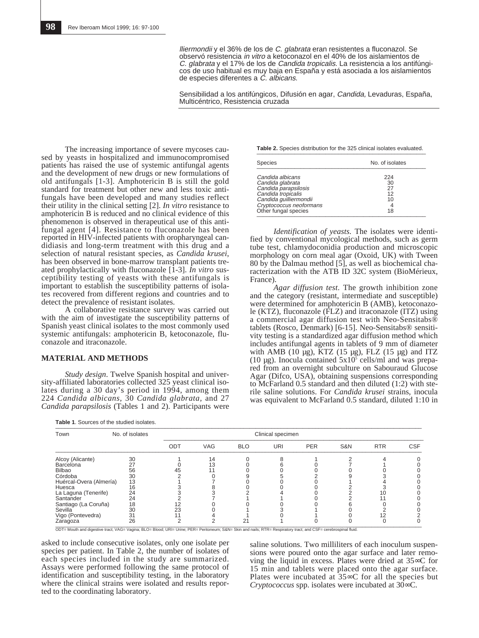lliermondii y el 36% de los de C. glabrata eran resistentes a fluconazol. Se observó resistencia in vitro a ketoconazol en el 40% de los aislamientos de C. glabrata y el 17% de los de Candida tropicalis. La resistencia a los antifúngicos de uso habitual es muy baja en España y está asociada a los aislamientos de especies diferentes a C. albicans.

Sensibilidad a los antifúngicos, Difusión en agar, Candida, Levaduras, España, Multicéntrico, Resistencia cruzada

The increasing importance of severe mycoses caused by yeasts in hospitalized and immunocompromised patients has raised the use of systemic antifungal agents and the development of new drugs or new formulations of old antifungals [1-3]. Amphotericin B is still the gold standard for treatment but other new and less toxic antifungals have been developed and many studies reflect their utility in the clinical setting [2]. *In vitro* resistance to amphotericin B is reduced and no clinical evidence of this phenomenon is observed in therapeutical use of this antifungal agent [4]. Resistance to fluconazole has been reported in HIV-infected patients with oropharyngeal candidiasis and long-term treatment with this drug and a selection of natural resistant species, as *Candida krusei*, has been observed in bone-marrow transplant patients treated prophylactically with fluconazole [1-3]. *In vitro* susceptibility testing of yeasts with these antifungals is important to establish the susceptibility patterns of isolates recovered from different regions and countries and to detect the prevalence of resistant isolates.

A collaborative resistance survey was carried out with the aim of investigate the susceptibility patterns of Spanish yeast clinical isolates to the most commonly used systemic antifungals: amphotericin B, ketoconazole, fluconazole and itraconazole.

#### **MATERIAL AND METHODS**

*Study design*. Twelve Spanish hospital and university-affiliated laboratories collected 325 yeast clinical isolates during a 30 day's period in 1994, among them 224 *Candida albicans,* 30 *Candida glabrata,* and 27 *Candida parapsilosis* (Tables 1 and 2). Participants were

| <b>Table 1. Sources of the studied isolates</b> |
|-------------------------------------------------|
|-------------------------------------------------|

**Table 2.** Species distribution for the 325 clinical isolates evaluated.

| <b>Species</b>          | No. of isolates |  |  |
|-------------------------|-----------------|--|--|
| Candida albicans        | 224             |  |  |
| Candida glabrata        | 30              |  |  |
| Candida parapsilosis    | 27              |  |  |
| Candida tropicalis      | 12              |  |  |
| Candida guilliermondii  | 10              |  |  |
| Cryptococcus neoformans |                 |  |  |
| Other fungal species    | 18              |  |  |

*Identification of yeasts.* The isolates were identified by conventional mycological methods, such as germ tube test, chlamydoconidia production and microscopic morphology on corn meal agar (Oxoid, UK) with Tween 80 by the Dalmau method [5], as well as biochemical characterization with the ATB ID 32C system (BioMérieux, France).

*Agar diffusion test.* The growth inhibition zone and the category (resistant, intermediate and susceptible) were determined for amphotericin B (AMB), ketoconazole (KTZ), fluconazole (FLZ) and itraconazole (ITZ) using a commercial agar diffusion test with Neo-Sensitabs® tablets (Rosco, Denmark) [6-15]. Neo-Sensitabs® sensitivity testing is a standardized agar diffusion method which includes antifungal agents in tablets of 9 mm of diameter with AMB (10  $\mu$ g), KTZ (15  $\mu$ g), FLZ (15  $\mu$ g) and ITZ (10  $\mu$ g). Inocula contained 5x10<sup>5</sup> cells/ml and was prepared from an overnight subculture on Sabouraud Glucose Agar (Difco, USA), obtaining suspensions corresponding to McFarland 0.5 standard and then diluted (1:2) with sterile saline solutions. For *Candida krusei* strains, inocula was equivalent to McFarland 0.5 standard, diluted 1:10 in

| Town                    | No. of isolates |     |            |            | Clinical specimen |            |                |            |            |
|-------------------------|-----------------|-----|------------|------------|-------------------|------------|----------------|------------|------------|
|                         |                 | ODT | <b>VAG</b> | <b>BLO</b> | URI               | <b>PER</b> | <b>S&amp;N</b> | <b>RTR</b> | <b>CSF</b> |
| Alcoy (Alicante)        | 30              |     | 14         |            |                   |            |                |            |            |
| Barcelona               | 27              |     | 13         |            |                   |            |                |            |            |
| Bilbao                  | 56              | 45  |            |            |                   |            |                |            |            |
| Córdoba                 | 30              |     |            |            |                   |            |                |            |            |
| Huércal-Overa (Almería) | 13              |     |            |            |                   |            |                |            |            |
| Huesca                  | 16              |     |            |            |                   |            |                |            |            |
| La Laguna (Tenerife)    | 24              |     |            |            |                   |            |                |            |            |
| Santander               | 24              |     |            |            |                   |            |                |            |            |
| Santiago (La Coruña)    | 18              | 12  |            |            |                   |            |                |            |            |
| Sevilla                 | 30              | 23  |            |            |                   |            |                |            |            |
| Vigo (Pontevedra)       | 31              |     |            |            |                   |            |                |            |            |
| Zaragoza                | 26              |     |            | 21         |                   |            |                |            |            |

asked to include consecutive isolates, only one isolate per species per patient. In Table 2, the number of isolates of each species included in the study are summarized. Assays were performed following the same protocol of identification and susceptibility testing, in the laboratory where the clinical strains were isolated and results reported to the coordinating laboratory.

saline solutions. Two milliliters of each inoculum suspensions were poured onto the agar surface and later removing the liquid in excess. Plates were dried at 35∞C for 15 min and tablets were placed onto the agar surface. Plates were incubated at 35∞C for all the species but *Cryptococcus* spp. isolates were incubated at 30∞C.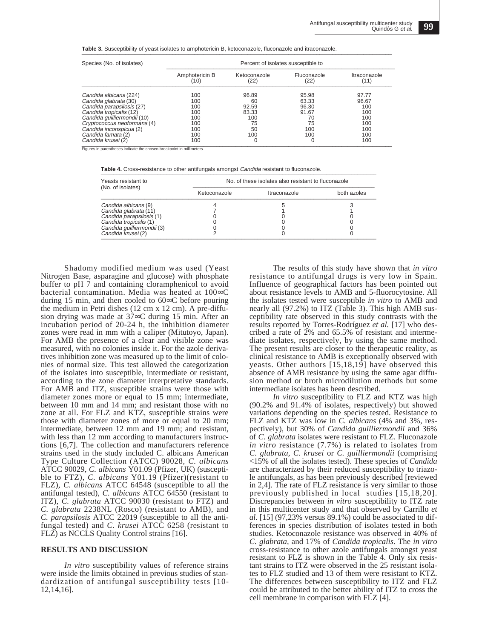**Table 3.** Susceptibility of yeast isolates to amphotericin B, ketoconazole, fluconazole and itraconazole

| Species (No. of isolates)   | Percent of isolates susceptible to |                      |                     |                      |  |
|-----------------------------|------------------------------------|----------------------|---------------------|----------------------|--|
|                             | Amphotericin B<br>(10)             | Ketoconazole<br>(22) | Fluconazole<br>(22) | Itraconazole<br>(11) |  |
| Candida albicans (224)      | 100                                | 96.89                | 95.98               | 97.77                |  |
| Candida glabrata (30)       | 100                                | 60                   | 63.33               | 96.67                |  |
| Candida parapsilosis (27)   | 100                                | 92.59                | 96.30               | 100                  |  |
| Candida tropicalis (12)     | 100                                | 83.33                | 91.67               | 100                  |  |
| Candida quilliermondii (10) | 100                                | 100                  | 70                  | 100                  |  |
| Cryptococcus neoformans (4) | 100                                | 75                   | 75                  | 100                  |  |
| Candida inconspicua (2)     | 100                                | 50                   | 100                 | 100                  |  |
| Candida famata (2)          | 100                                | 100                  | 100                 | 100                  |  |
| Candida krusei (2)          | 100                                | O                    | O                   | 100                  |  |

Figures in parentheses indicate the chosen breakpoint in millimeters.

**Table 4.** Cross-resistance to other antifungals amongst *Candida* resistant to fluconazole.

| Yeasts resistant to<br>(No. of isolates) | No. of these isolates also resistant to fluconazole |              |             |  |  |
|------------------------------------------|-----------------------------------------------------|--------------|-------------|--|--|
|                                          | Ketoconazole                                        | Itraconazole | both azoles |  |  |
| Candida albicans (9)                     |                                                     |              |             |  |  |
| Candida glabrata (11)                    |                                                     |              |             |  |  |
| Candida parapsilosis (1)                 |                                                     |              |             |  |  |
| Candida tropicalis (1)                   |                                                     |              |             |  |  |
| Candida guilliermondii (3)               |                                                     |              |             |  |  |
| Candida krusei (2)                       |                                                     |              |             |  |  |

Shadomy modified medium was used (Yeast Nitrogen Base, asparagine and glucose) with phosphate buffer to pH 7 and containing cloramphenicol to avoid bacterial contamination. Media was heated at 100∞C during 15 min, and then cooled to 60∞C before pouring the medium in Petri dishes (12 cm x 12 cm). A pre-diffusion drying was made at 37∞C during 15 min. After an incubation period of 20-24 h, the inhibition diameter zones were read in mm with a caliper (Mitutoyo, Japan). For AMB the presence of a clear and visible zone was measured, with no colonies inside it. For the azole derivatives inhibition zone was measured up to the limit of colonies of normal size. This test allowed the categorization of the isolates into susceptible, intermediate or resistant, according to the zone diameter interpretative standards. For AMB and ITZ, susceptible strains were those with diameter zones more or equal to 15 mm; intermediate, between 10 mm and 14 mm; and resistant those with no zone at all. For FLZ and KTZ, susceptible strains were those with diameter zones of more or equal to 20 mm; intermediate, between 12 mm and 19 mm; and resistant, with less than 12 mm according to manufacturers instructions [6,7]. The collection and manufacturers reference strains used in the study included C. albicans American Type Culture Collection (ATCC) 90028, *C. albicans* ATCC 90029, *C. albicans* Y01.09 (Pfizer, UK) (susceptible to FTZ), *C. albicans* Y01.19 (Pfizer)(resistant to FLZ), *C. albicans* ATCC 64548 (susceptible to all the antifungal tested), *C. albicans* ATCC 64550 (resistant to ITZ), *C. glabrata* ATCC 90030 (resistant to FTZ) and *C. glabrata* 2238NL (Rosco) (resistant to AMB), and *C. parapsilosis* ATCC 22019 (susceptible to all the antifungal tested) and *C. krusei* ATCC 6258 (resistant to FLZ) as NCCLS Quality Control strains [16].

#### **RESULTS AND DISCUSSION**

*In vitro* susceptibility values of reference strains were inside the limits obtained in previous studies of standardization of antifungal susceptibility tests [10- 12,14,16].

The results of this study have shown that *in vitro* resistance to antifungal drugs is very low in Spain. Influence of geographical factors has been pointed out about resistance levels to AMB and 5-fluorocytosine. All the isolates tested were susceptible *in vitro* to AMB and nearly all (97.2%) to ITZ (Table 3). This high AMB susceptibility rate observed in this study contrasts with the results reported by Torres-Rodríguez *et al.* [17] who described a rate of 2% and 65.5% of resistant and intermediate isolates, respectively, by using the same method. The present results are closer to the therapeutic reality, as clinical resistance to AMB is exceptionally observed with yeasts. Other authors [15,18,19] have observed this absence of AMB resistance by using the same agar diffusion method or broth microdilution methods but some intermediate isolates has been described.

*In vitro* susceptibility to FLZ and KTZ was high (90.2% and 91.4% of isolates, respectively) but showed variations depending on the species tested. Resistance to FLZ and KTZ was low in *C. albicans* (4% and 3%, respectively), but 30% of *Candida guilliermondii* and 36% of *C. glabrata* isolates were resistant to FLZ. Fluconazole *in vitro* resistance (7.7%) is related to isolates from *C. glabrata, C. krusei* or *C. guilliermondii* (comprising <15% of all the isolates tested). These species of *Candida* are characterized by their reduced susceptibility to triazole antifungals, as has been previously described [reviewed in 2,4]. The rate of FLZ resistance is very similar to those previously published in local studies [15,18,20]. Discrepancies between *in vitro* susceptibility to ITZ rate in this multicenter study and that observed by Carrillo *et al.* [15] (97,23% versus 89.1%) could be associated to differences in species distribution of isolates tested in both studies. Ketoconazole resistance was observed in 40% of *C. glabrata*, and 17% of *Candida tropicalis*. The *in vitro* cross-resistance to other azole antifungals amongst yeast resistant to FLZ is shown in the Table 4. Only six resistant strains to ITZ were observed in the 25 resistant isolates to FLZ studied and 13 of them were resistant to KTZ. The differences between susceptibility to ITZ and FLZ could be attributed to the better ability of ITZ to cross the cell membrane in comparison with FLZ [4].

**99**